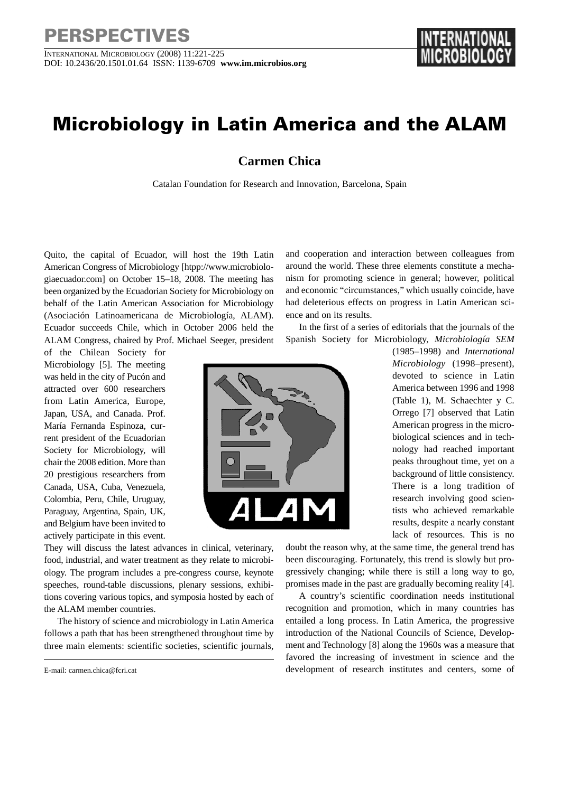## **PERSPECTIVES**

INTERNATIONAL MICROBIOLOGY (2008) 11:221-225 DOI: 10.2436/20.1501.01.64 ISSN: 1139-6709 **www.im.microbios.org** 

## **Microbiology in Latin America and the ALAM**

**Carmen Chica**

Catalan Foundation for Research and Innovation, Barcelona, Spain

Quito, the capital of Ecuador, will host the 19th Latin American Congress of Microbiology [htpp://www.microbiologiaecuador.com] on October 15–18, 2008. The meeting has been organized by the Ecuadorian Society for Microbiology on behalf of the Latin American Association for Microbiology (Asociación Latinoamericana de Microbiología, ALAM). Ecuador succeeds Chile, which in October 2006 held the ALAM Congress, chaired by Prof. Michael Seeger, president

of the Chilean Society for Microbiology [5]. The meeting was held in the city of Pucón and attracted over 600 researchers from Latin America, Europe, Japan, USA, and Canada. Prof. María Fernanda Espinoza, current president of the Ecuadorian Society for Microbiology, will chair the 2008 edition. More than 20 prestigious researchers from Canada, USA, Cuba, Venezuela, Colombia, Peru, Chile, Uruguay, Paraguay, Argentina, Spain, UK, and Belgium have been invited to actively participate in this event.

had deleterious effects on progress in Latin American science and on its results. In the first of a series of editorials that the journals of the Spanish Society for Microbiology, *Microbiología SEM* (1985–1998) and *International*

and cooperation and interaction between colleagues from around the world. These three elements constitute a mechanism for promoting science in general; however, political and economic "circumstances," which usually coincide, have

> *Microbiology* (1998–present), devoted to science in Latin America between 1996 and 1998 (Table 1), M. Schaechter y C. Orrego [7] observed that Latin American progress in the microbiological sciences and in technology had reached important peaks throughout time, yet on a background of little consistency. There is a long tradition of research involving good scientists who achieved remarkable results, despite a nearly constant lack of resources. This is no

They will discuss the latest advances in clinical, veterinary, food, industrial, and water treatment as they relate to microbiology. The program includes a pre-congress course, keynote speeches, round-table discussions, plenary sessions, exhibitions covering various topics, and symposia hosted by each of the ALAM member countries.

The history of science and microbiology in Latin America follows a path that has been strengthened throughout time by three main elements: scientific societies, scientific journals,

doubt the reason why, at the same time, the general trend has been discouraging. Fortunately, this trend is slowly but progressively changing; while there is still a long way to go, promises made in the past are gradually becoming reality [4].

A country's scientific coordination needs institutional recognition and promotion, which in many countries has entailed a long process. In Latin America, the progressive introduction of the National Councils of Science, Development and Technology [8] along the 1960s was a measure that favored the increasing of investment in science and the development of research institutes and centers, some of



E-mail: carmen.chica@fcri.cat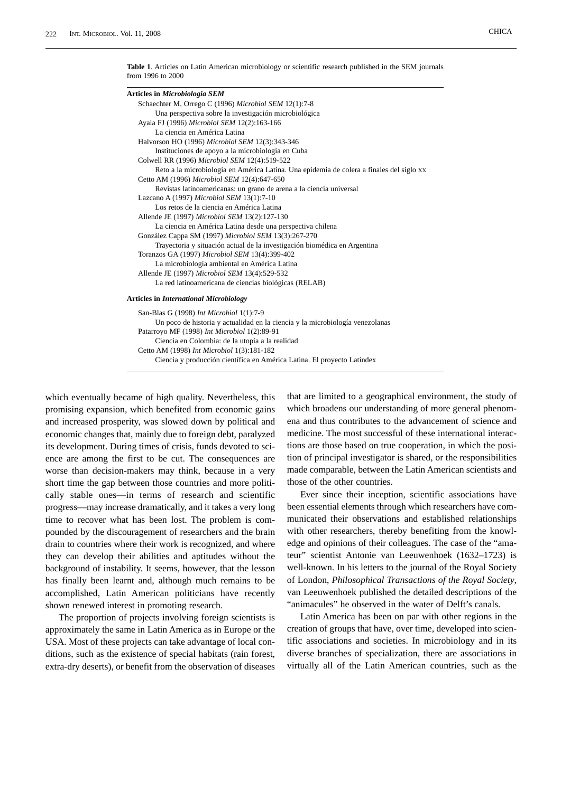**Table 1**. Articles on Latin American microbiology or scientific research published in the SEM journals from 1996 to 2000

| Articles in Microbiologia SEM                                                            |  |
|------------------------------------------------------------------------------------------|--|
| Schaechter M, Orrego C (1996) Microbiol SEM 12(1):7-8                                    |  |
| Una perspectiva sobre la investigación microbiológica                                    |  |
| Ayala FJ (1996) Microbiol SEM 12(2):163-166                                              |  |
| La ciencia en América Latina                                                             |  |
| Halvorson HO (1996) Microbiol SEM 12(3):343-346                                          |  |
| Instituciones de apoyo a la microbiología en Cuba                                        |  |
| Colwell RR (1996) Microbiol SEM 12(4):519-522                                            |  |
| Reto a la microbiología en América Latina. Una epidemia de colera a finales del siglo XX |  |
| Cetto AM (1996) Microbiol SEM 12(4):647-650                                              |  |
| Revistas latinoamericanas: un grano de arena a la ciencia universal                      |  |
| Lazcano A (1997) Microbiol SEM 13(1):7-10                                                |  |
| Los retos de la ciencia en América Latina                                                |  |
| Allende JE (1997) Microbiol SEM 13(2):127-130                                            |  |
| La ciencia en América Latina desde una perspectiva chilena                               |  |
| González Cappa SM (1997) Microbiol SEM 13(3):267-270                                     |  |
| Trayectoria y situación actual de la investigación biomédica en Argentina                |  |
| Toranzos GA (1997) Microbiol SEM 13(4):399-402                                           |  |
| La microbiología ambiental en América Latina                                             |  |
| Allende JE (1997) Microbiol SEM 13(4):529-532                                            |  |
| La red latinoamericana de ciencias biológicas (RELAB)                                    |  |
| <b>Articles in International Microbiology</b>                                            |  |
| San-Blas G (1998) Int Microbiol 1(1):7-9                                                 |  |
| Un poco de historia y actualidad en la ciencia y la microbiología venezolanas            |  |
| Patarroyo MF (1998) Int Microbiol 1(2):89-91                                             |  |
| Ciencia en Colombia: de la utopía a la realidad                                          |  |

Cetto AM (1998) *Int Microbiol* 1(3):181-182

Ciencia y producción científica en América Latina. El proyecto Latíndex

which eventually became of high quality. Nevertheless, this promising expansion, which benefited from economic gains and increased prosperity, was slowed down by political and economic changes that, mainly due to foreign debt, paralyzed its development. During times of crisis, funds devoted to science are among the first to be cut. The consequences are worse than decision-makers may think, because in a very short time the gap between those countries and more politically stable ones—in terms of research and scientific progress—may increase dramatically, and it takes a very long time to recover what has been lost. The problem is compounded by the discouragement of researchers and the brain drain to countries where their work is recognized, and where they can develop their abilities and aptitudes without the background of instability. It seems, however, that the lesson has finally been learnt and, although much remains to be accomplished, Latin American politicians have recently shown renewed interest in promoting research.

The proportion of projects involving foreign scientists is approximately the same in Latin America as in Europe or the USA. Most of these projects can take advantage of local conditions, such as the existence of special habitats (rain forest, extra-dry deserts), or benefit from the observation of diseases

that are limited to a geographical environment, the study of which broadens our understanding of more general phenomena and thus contributes to the advancement of science and medicine. The most successful of these international interactions are those based on true cooperation, in which the position of principal investigator is shared, or the responsibilities made comparable, between the Latin American scientists and those of the other countries.

Ever since their inception, scientific associations have been essential elements through which researchers have communicated their observations and established relationships with other researchers, thereby benefiting from the knowledge and opinions of their colleagues. The case of the "amateur" scientist Antonie van Leeuwenhoek (1632–1723) is well-known. In his letters to the journal of the Royal Society of London, *Philosophical Transactions of the Royal Society*, van Leeuwenhoek published the detailed descriptions of the "animacules" he observed in the water of Delft's canals.

Latin America has been on par with other regions in the creation of groups that have, over time, developed into scientific associations and societies. In microbiology and in its diverse branches of specialization, there are associations in virtually all of the Latin American countries, such as the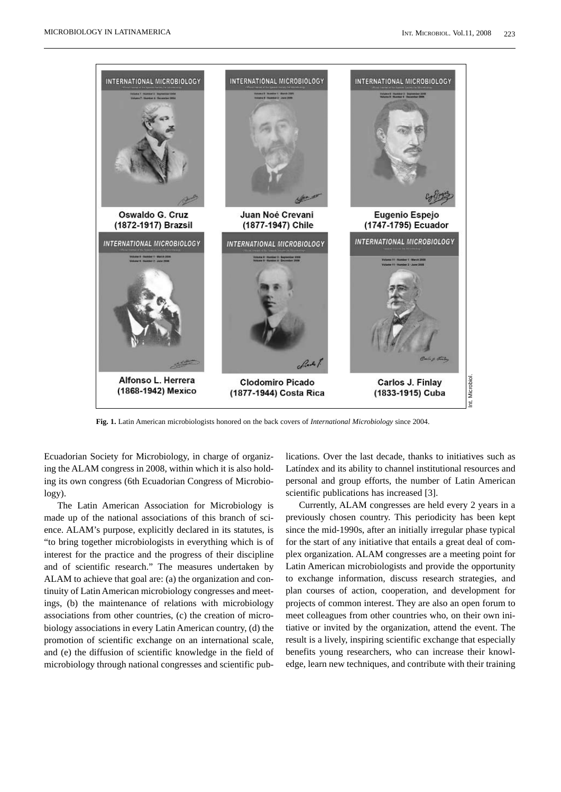

**Fig. 1.** Latin American microbiologists honored on the back covers of *International Microbiology* since 2004.

Ecuadorian Society for Microbiology, in charge of organizing the ALAM congress in 2008, within which it is also holding its own congress (6th Ecuadorian Congress of Microbiology).

The Latin American Association for Microbiology is made up of the national associations of this branch of science. ALAM's purpose, explicitly declared in its statutes, is "to bring together microbiologists in everything which is of interest for the practice and the progress of their discipline and of scientific research." The measures undertaken by ALAM to achieve that goal are: (a) the organization and continuity of Latin American microbiology congresses and meetings, (b) the maintenance of relations with microbiology associations from other countries, (c) the creation of microbiology associations in every Latin American country, (d) the promotion of scientific exchange on an international scale, and (e) the diffusion of scientific knowledge in the field of microbiology through national congresses and scientific pub-

lications. Over the last decade, thanks to initiatives such as Latíndex and its ability to channel institutional resources and personal and group efforts, the number of Latin American scientific publications has increased [3].

Currently, ALAM congresses are held every 2 years in a previously chosen country. This periodicity has been kept since the mid-1990s, after an initially irregular phase typical for the start of any initiative that entails a great deal of complex organization. ALAM congresses are a meeting point for Latin American microbiologists and provide the opportunity to exchange information, discuss research strategies, and plan courses of action, cooperation, and development for projects of common interest. They are also an open forum to meet colleagues from other countries who, on their own initiative or invited by the organization, attend the event. The result is a lively, inspiring scientific exchange that especially benefits young researchers, who can increase their knowledge, learn new techniques, and contribute with their training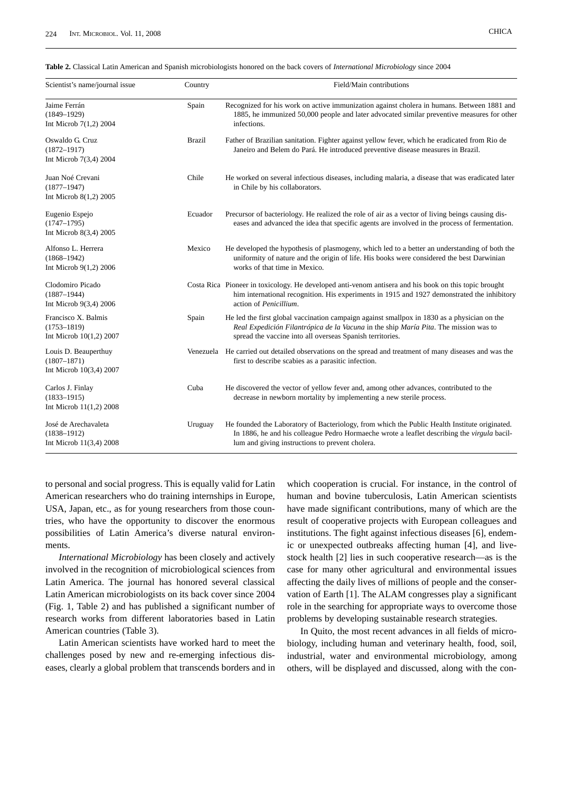**Table 2.** Classical Latin American and Spanish microbiologists honored on the back covers of *International Microbiology* since 2004

| Scientist's name/journal issue                                     | Country       | Field/Main contributions                                                                                                                                                                                                                               |  |  |  |
|--------------------------------------------------------------------|---------------|--------------------------------------------------------------------------------------------------------------------------------------------------------------------------------------------------------------------------------------------------------|--|--|--|
| Jaime Ferrán<br>$(1849 - 1929)$<br>Int Microb $7(1,2)$ 2004        | Spain         | Recognized for his work on active immunization against cholera in humans. Between 1881 and<br>1885, he immunized 50,000 people and later advocated similar preventive measures for other<br>infections.                                                |  |  |  |
| Oswaldo G. Cruz<br>$(1872 - 1917)$<br>Int Microb 7(3,4) 2004       | <b>Brazil</b> | Father of Brazilian sanitation. Fighter against yellow fever, which he eradicated from Rio de<br>Janeiro and Belem do Pará. He introduced preventive disease measures in Brazil.                                                                       |  |  |  |
| Juan Noé Crevani<br>$(1877 - 1947)$<br>Int Microb $8(1,2)$ 2005    | Chile         | He worked on several infectious diseases, including malaria, a disease that was eradicated later<br>in Chile by his collaborators.                                                                                                                     |  |  |  |
| Eugenio Espejo<br>$(1747 - 1795)$<br>Int Microb 8(3,4) 2005        | Ecuador       | Precursor of bacteriology. He realized the role of air as a vector of living beings causing dis-<br>eases and advanced the idea that specific agents are involved in the process of fermentation.                                                      |  |  |  |
| Alfonso L. Herrera<br>$(1868 - 1942)$<br>Int Microb $9(1,2)$ 2006  | Mexico        | He developed the hypothesis of plasmogeny, which led to a better an understanding of both the<br>uniformity of nature and the origin of life. His books were considered the best Darwinian<br>works of that time in Mexico.                            |  |  |  |
| Clodomiro Picado<br>$(1887 - 1944)$<br>Int Microb 9(3,4) 2006      |               | Costa Rica Pioneer in toxicology. He developed anti-venom antisera and his book on this topic brought<br>him international recognition. His experiments in 1915 and 1927 demonstrated the inhibitory<br>action of Penicillium.                         |  |  |  |
| Francisco X. Balmis<br>$(1753 - 1819)$<br>Int Microb 10(1,2) 2007  | Spain         | He led the first global vaccination campaign against smallpox in 1830 as a physician on the<br>Real Expedición Filantrópica de la Vacuna in the ship María Pita. The mission was to<br>spread the vaccine into all overseas Spanish territories.       |  |  |  |
| Louis D. Beauperthuy<br>$(1807 - 1871)$<br>Int Microb 10(3,4) 2007 |               | Venezuela He carried out detailed observations on the spread and treatment of many diseases and was the<br>first to describe scabies as a parasitic infection.                                                                                         |  |  |  |
| Carlos J. Finlay<br>$(1833 - 1915)$<br>Int Microb $11(1,2)$ 2008   | Cuba          | He discovered the vector of yellow fever and, among other advances, contributed to the<br>decrease in newborn mortality by implementing a new sterile process.                                                                                         |  |  |  |
| José de Arechavaleta<br>$(1838 - 1912)$<br>Int Microb 11(3,4) 2008 | Uruguay       | He founded the Laboratory of Bacteriology, from which the Public Health Institute originated.<br>In 1886, he and his colleague Pedro Hormaeche wrote a leaflet describing the <i>virgula</i> bacil-<br>lum and giving instructions to prevent cholera. |  |  |  |

to personal and social progress. This is equally valid for Latin American researchers who do training internships in Europe, USA, Japan, etc., as for young researchers from those countries, who have the opportunity to discover the enormous possibilities of Latin America's diverse natural environments.

*International Microbiology* has been closely and actively involved in the recognition of microbiological sciences from Latin America. The journal has honored several classical Latin American microbiologists on its back cover since 2004 (Fig. 1, Table 2) and has published a significant number of research works from different laboratories based in Latin American countries (Table 3).

Latin American scientists have worked hard to meet the challenges posed by new and re-emerging infectious diseases, clearly a global problem that transcends borders and in which cooperation is crucial. For instance, in the control of human and bovine tuberculosis, Latin American scientists have made significant contributions, many of which are the result of cooperative projects with European colleagues and institutions. The fight against infectious diseases [6], endemic or unexpected outbreaks affecting human [4], and livestock health [2] lies in such cooperative research—as is the case for many other agricultural and environmental issues affecting the daily lives of millions of people and the conservation of Earth [1]. The ALAM congresses play a significant role in the searching for appropriate ways to overcome those problems by developing sustainable research strategies.

In Quito, the most recent advances in all fields of microbiology, including human and veterinary health, food, soil, industrial, water and environmental microbiology, among others, will be displayed and discussed, along with the con-